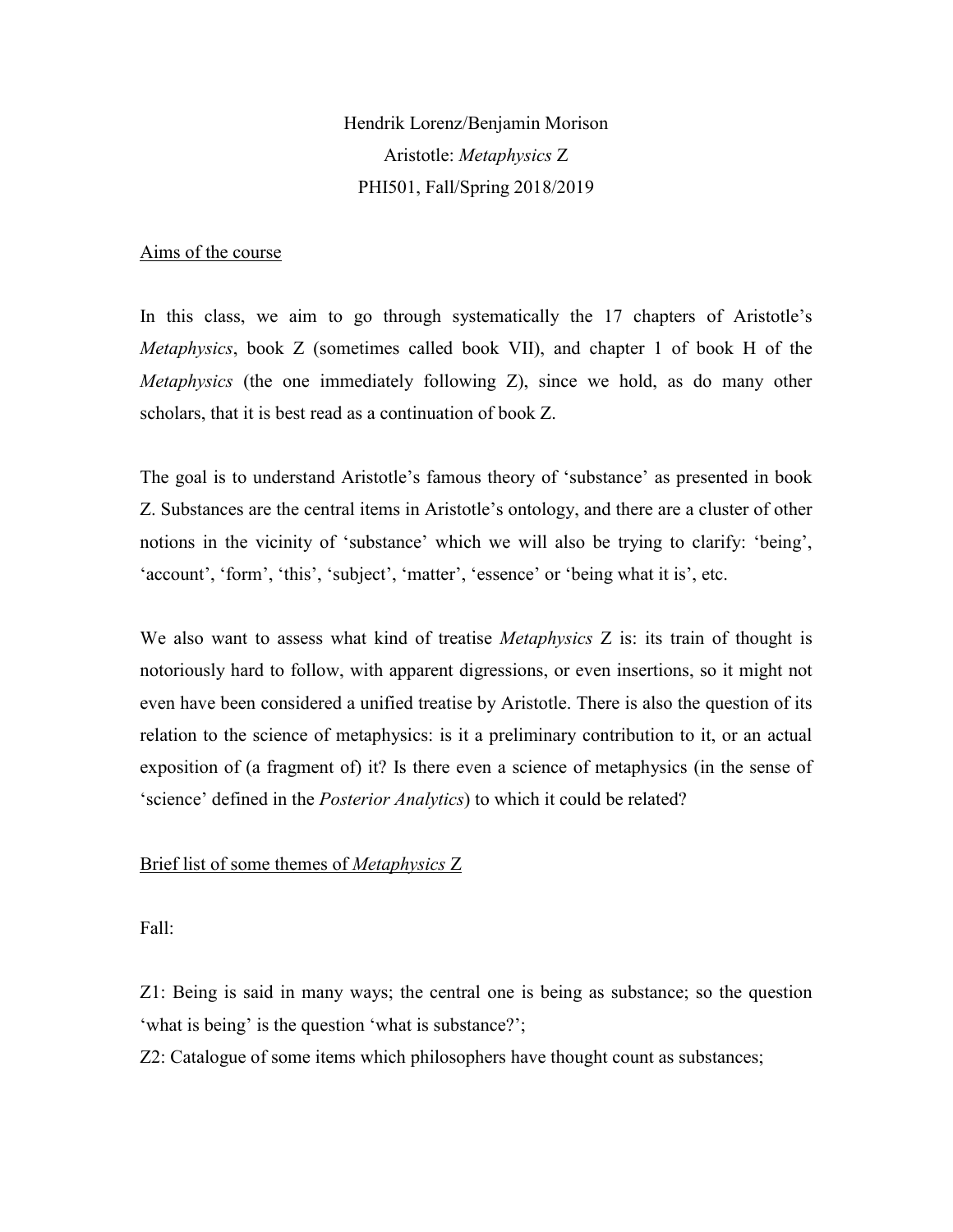Hendrik Lorenz/Benjamin Morison Aristotle: *Metaphysics* Z PHI501, Fall/Spring 2018/2019

#### Aims of the course

In this class, we aim to go through systematically the 17 chapters of Aristotle's *Metaphysics*, book Z (sometimes called book VII), and chapter 1 of book H of the *Metaphysics* (the one immediately following Z), since we hold, as do many other scholars, that it is best read as a continuation of book Z.

The goal is to understand Aristotle's famous theory of 'substance' as presented in book Z. Substances are the central items in Aristotle's ontology, and there are a cluster of other notions in the vicinity of 'substance' which we will also be trying to clarify: 'being', 'account', 'form', 'this', 'subject', 'matter', 'essence' or 'being what it is', etc.

We also want to assess what kind of treatise *Metaphysics* Z is: its train of thought is notoriously hard to follow, with apparent digressions, or even insertions, so it might not even have been considered a unified treatise by Aristotle. There is also the question of its relation to the science of metaphysics: is it a preliminary contribution to it, or an actual exposition of (a fragment of) it? Is there even a science of metaphysics (in the sense of 'science' defined in the *Posterior Analytics*) to which it could be related?

# Brief list of some themes of *Metaphysics* Z

Fall:

Z1: Being is said in many ways; the central one is being as substance; so the question 'what is being' is the question 'what is substance?';

Z2: Catalogue of some items which philosophers have thought count as substances;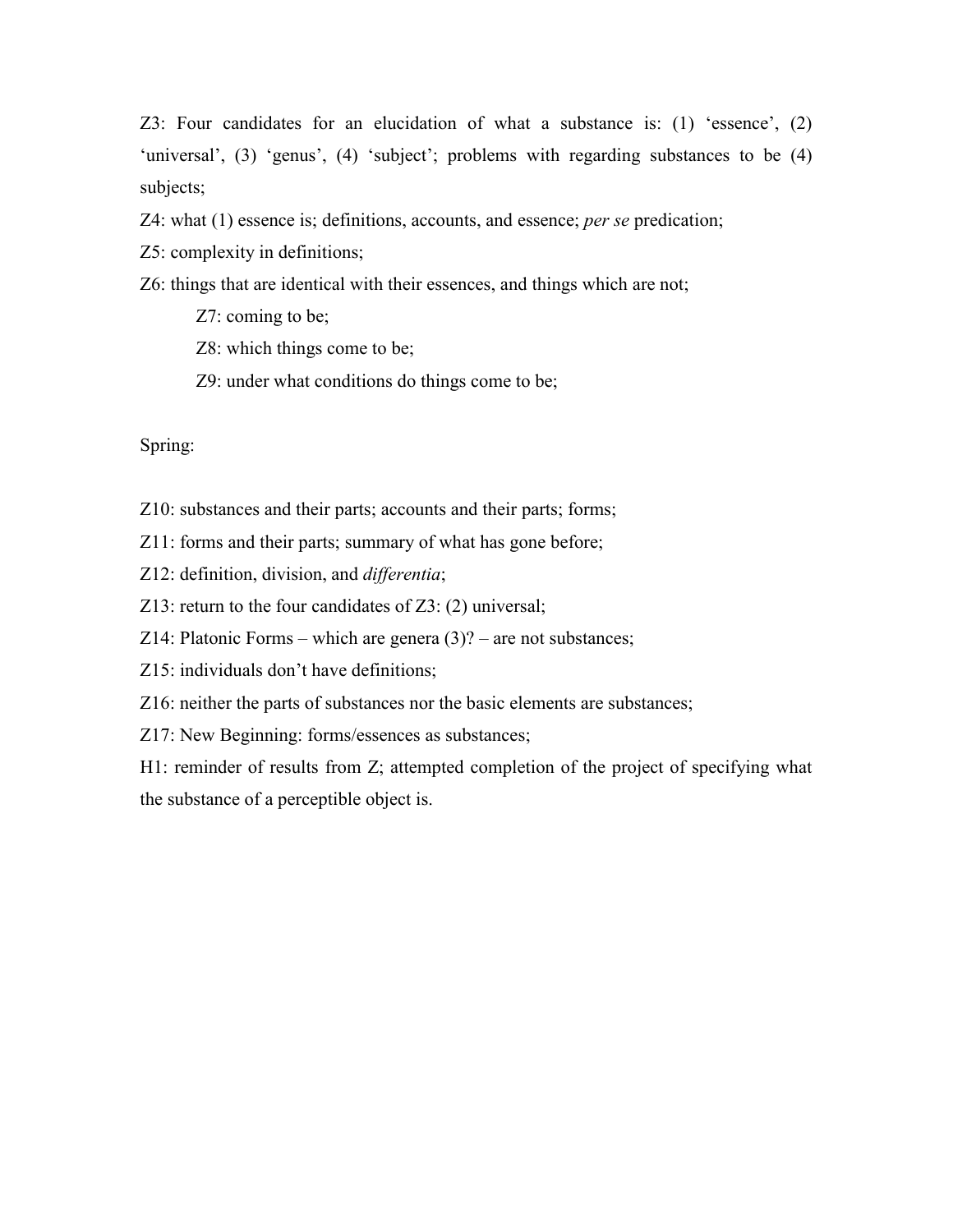Z3: Four candidates for an elucidation of what a substance is: (1) 'essence', (2) 'universal', (3) 'genus', (4) 'subject'; problems with regarding substances to be (4) subjects;

Z4: what (1) essence is; definitions, accounts, and essence; *per se* predication;

Z5: complexity in definitions;

Z6: things that are identical with their essences, and things which are not;

- Z7: coming to be;
- Z8: which things come to be;
- Z9: under what conditions do things come to be;

Spring:

- Z10: substances and their parts; accounts and their parts; forms;
- Z11: forms and their parts; summary of what has gone before;
- Z12: definition, division, and *differentia*;
- Z13: return to the four candidates of Z3: (2) universal;
- Z14: Platonic Forms which are genera  $(3)$ ? are not substances;
- Z15: individuals don't have definitions;
- Z16: neither the parts of substances nor the basic elements are substances;
- Z17: New Beginning: forms/essences as substances;

H1: reminder of results from Z; attempted completion of the project of specifying what the substance of a perceptible object is.